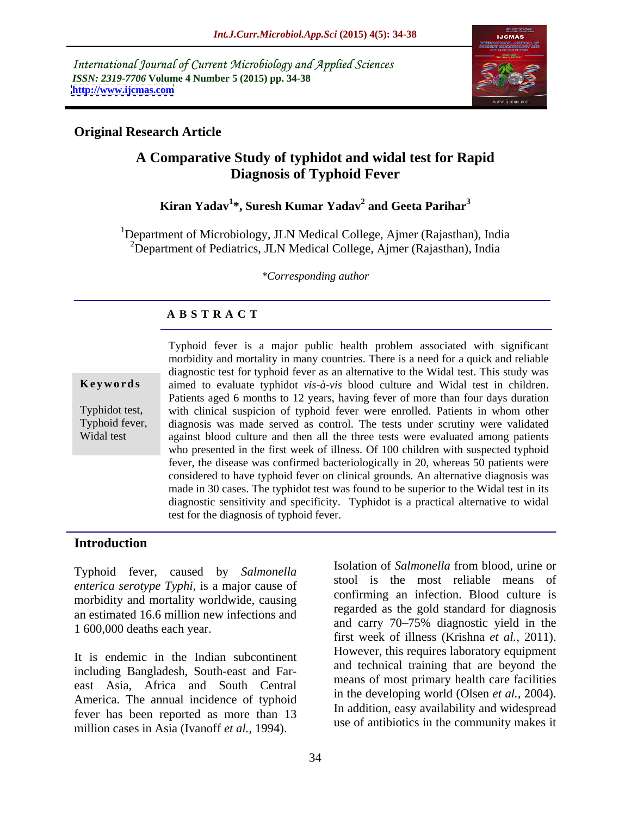International Journal of Current Microbiology and Applied Sciences *ISSN: 2319-7706* **Volume 4 Number 5 (2015) pp. 34-38 <http://www.ijcmas.com>**



### **Original Research Article**

# **A Comparative Study of typhidot and widal test for Rapid Diagnosis of Typhoid Fever**

### **Kiran Yadav<sup>1</sup> \*, Suresh Kumar Yadav<sup>2</sup> and Geeta Parihar<sup>3</sup>**

<sup>1</sup>Department of Microbiology, JLN Medical College, Ajmer (Rajasthan), India <sup>2</sup>Department of Pediatrics, JLN Medical College, Ajmer (Rajasthan), India

*\*Corresponding author*

## **A B S T R A C T**

Widal test

Typhoid fever is a major public health problem associated with significant morbidity and mortality in many countries. There is a need for a quick and reliable diagnostic test for typhoid fever as an alternative to the Widal test. This study was aimed to evaluate typhidot *vis-à-vis* blood culture and Widal test in children. **Ke ywo rds** Patients aged 6 months to 12 years, having fever of more than four days duration Typhidot test, with clinical suspicion of typhoid fever were enrolled. Patients in whom other Typhoid fever, diagnosis was made served as control. The tests under scrutiny were validated against blood culture and then all the three tests were evaluated among patients who presented in the first week of illness. Of 100 children with suspected typhoid fever, the disease was confirmed bacteriologically in 20, whereas 50 patients were considered to have typhoid fever on clinical grounds. An alternative diagnosis was made in 30 cases. The typhidot test was found to be superior to the Widal test in its diagnostic sensitivity and specificity. Typhidot is a practical alternative to widal test for the diagnosis of typhoid fever.

### **Introduction**

Typhoid fever, caused by *Salmonella enterica serotype Typhi*, is a major cause of morbidity and mortality worldwide, causing an estimated 16.6 million new infections and 1 600,000 deaths each year.

It is endemic in the Indian subcontinent including Bangladesh, South-east and Far east Asia, Africa and South Central America. The annual incidence of typhoid fever has been reported as more than 13 million cases in Asia (Ivanoff *et al.,* 1994).

Isolation of *Salmonella* from blood, urine or stool is the most reliable means of confirming an infection. Blood culture is regarded as the gold standard for diagnosis and carry 70–75% diagnostic yield in the first week of illness (Krishna *et al.,* 2011). However, this requires laboratory equipment and technical training that are beyond the means of most primary health care facilities in the developing world (Olsen *et al.,* 2004). In addition, easy availability and widespread use of antibiotics in the community makes it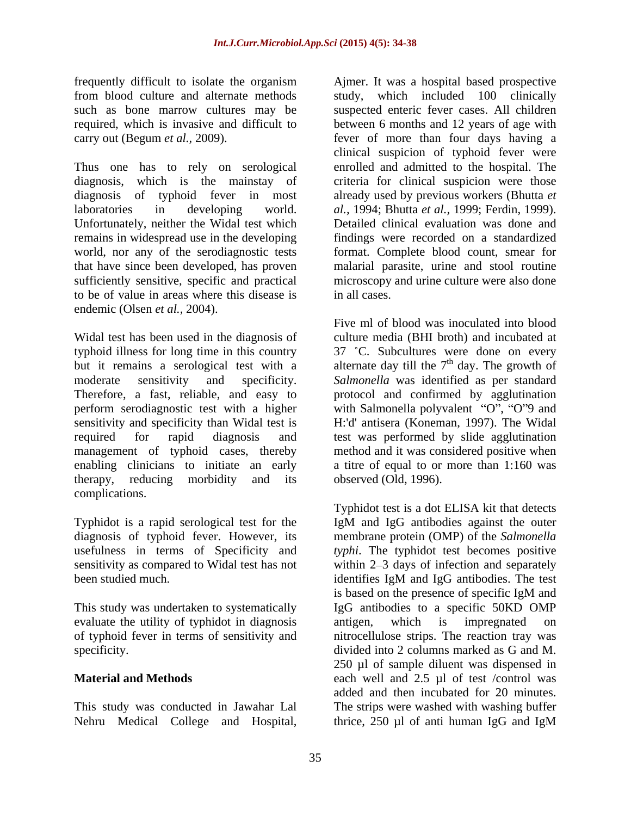frequently difficult to isolate the organism

Thus one has to rely on serological diagnosis, which is the mainstay of criteria for clinical suspicion were those diagnosis of typhoid fever in most already used by previous workers (Bhutta *et*  laboratories in developing world. *al.,* 1994; Bhutta *et al.,* 1999; Ferdin, 1999). Unfortunately, neither the Widal test which Detailed clinical evaluation was done and remains in widespread use in the developing world, nor any of the serodiagnostic tests format. Complete blood count, smear for that have since been developed, has proven malarial parasite, urine and stool routine sufficiently sensitive, specific and practical to be of value in areas where this disease is endemic (Olsen *et al.,* 2004).

Widal test has been used in the diagnosis of typhoid illness for long time in this country 37 °C. Subcultures were done on every but it remains a serological test with a alternate day till the  $7<sup>th</sup>$  day. The growth of moderate sensitivity and specificity. *Salmonella* was identified as per standard Therefore, a fast, reliable, and easy to protocol and confirmed by agglutination perform serodiagnostic test with a higher with Salmonella polyvalent "O", "O"9 and sensitivity and specificity than Widal test is required for rapid diagnosis and test was performed by slide agglutination management of typhoid cases, thereby method and it was considered positive when enabling clinicians to initiate an early a titre of equal to or more than 1:160 was therapy, reducing morbidity and its complications.

sensitivity as compared to Widal test has not been studied much. The state of the state of the identifies IgM and IgG antibodies. The test

evaluate the utility of typhidot in diagnosis antigen, which is impregnated on of typhoid fever in terms of sensitivity and specificity.  $\qquad \qquad \text{divided into 2 columns marked as G and M.}$ 

from blood culture and alternate methods study, which included 100 clinically such as bone marrow cultures may be suspected enteric fever cases. All children required, which is invasive and difficult to between 6 months and 12 years of age with carry out (Begum *et al.,* 2009). fever of more than four days having a clinical suspicion of typhoid fever were enrolled and admitted to the hospital. The findings were recorded on a standardized microscopy and urine culture were also done in all cases.

> Five ml of blood was inoculated into blood culture media (BHI broth) and incubated at <sup>th</sup> day. The growth of H:'d' antisera (Koneman, 1997). The Widal observed (Old, 1996).

Typhidot is a rapid serological test for the IgM and IgG antibodies against the outer diagnosis of typhoid fever. However, its membrane protein (OMP) of the *Salmonella*  usefulness in terms of Specificity and *typhi*. The typhidot test becomes positive This study was undertaken to systematically IgG antibodies to a specific 50KD OMP **Material and Methods** each well and 2.5 µl of test /control was This study was conducted in Jawahar Lal The strips were washed with washing buffer Formally diffuse the other is a sequelity of the superior and Ajmer. It was a hospital based prospective college and based prospective control in Such and Such and Such and Such and Such and Such and Such and Such and Suc Typhidot test is a dot ELISA kit that detects within  $2-3$  days of infection and separately identifies IgM and IgG antibodies. The test is based on the presence of specific IgM and antigen, which is impregnated on nitrocellulose strips. The reaction tray was divided into 2 columns marked as G and M. 250 µl of sample diluent was dispensed in added and then incubated for 20 minutes. thrice, 250 µl of anti human IgG and IgM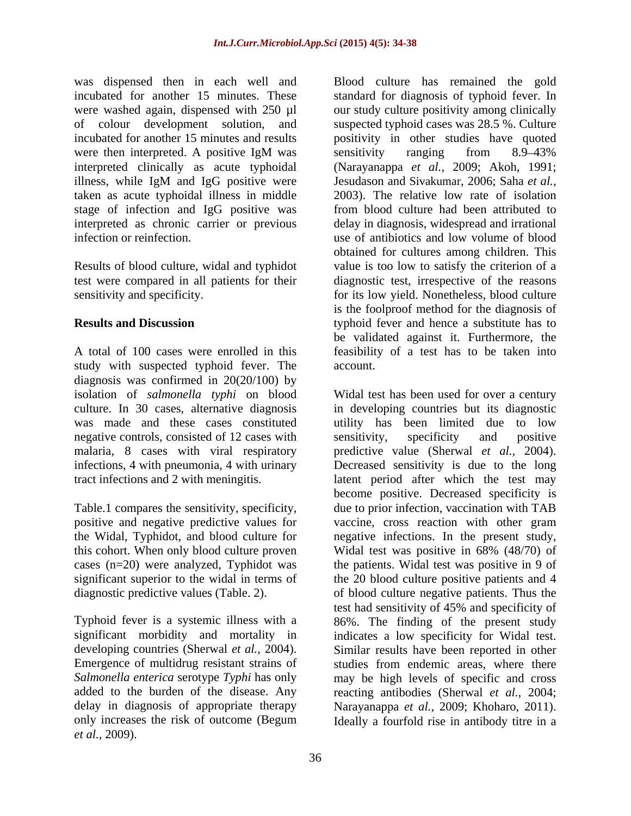were then interpreted. A positive IgM was sensitivity ranging from 8.9–43% interpreted clinically as acute typhoidal illness, while IgM and IgG positive were taken as acute typhoidal illness in middle stage of infection and IgG positive was

study with suspected typhoid fever. The diagnosis was confirmed in 20(20/100) by negative controls, consisted of 12 cases with sensitivity, specificity and positive

cases (n=20) were analyzed, Typhidot was

added to the burden of the disease. Any only increases the risk of outcome (Begum Ideally a fourfold rise in antibody titre in a*et al.,* 2009).

was dispensed then in each well and Blood culture has remained the gold incubated for another 15 minutes. These standard for diagnosis of typhoid fever. In were washed again, dispensed with 250 µl our study culture positivity among clinically of colour development solution, and suspected typhoid cases was 28.5 %. Culture incubated for another 15 minutes and results positivity in other studies have quoted interpreted as chronic carrier or previous delay in diagnosis, widespread and irrational infection or reinfection. use of antibiotics and low volume of blood Results of blood culture, widal and typhidot value is too low to satisfy the criterion of a test were compared in all patients for their diagnostic test, irrespective of the reasons sensitivity and specificity. for its low yield. Nonetheless, blood culture **Results and Discussion typhoid fever and hence a substitute has to** A total of 100 cases were enrolled in this feasibility of a test has to be taken into sensitivity ranging from 8.9–43% (Narayanappa *et al.,* 2009; Akoh, 1991; Jesudason and Sivakumar, 2006; Saha *et al.,* 2003). The relative low rate of isolation from blood culture had been attributed to obtained for cultures among children. This is the foolproof method for the diagnosis of be validated against it. Furthermore, the account.

isolation of *salmonella typhi* on blood Widal test has been used for over a century culture. In 30 cases, alternative diagnosis in developing countries but its diagnostic was made and these cases constituted utility has been limited due to low malaria, 8 cases with viral respiratory predictive value (Sherwal *et al.,* 2004). infections, 4 with pneumonia, 4 with urinary Decreased sensitivity is due to the long tract infections and 2 with meningitis. latent period after which the test may Table.1 compares the sensitivity, specificity, due to prior infection, vaccination with TAB positive and negative predictive values for vaccine, cross reaction with other gram the Widal, Typhidot, and blood culture for negative infections. In the present study, this cohort. When only blood culture proven Widal test was positive in 68% (48/70) of significant superior to the widal in terms of the 20 blood culture positive patients and 4 diagnostic predictive values (Table. 2). of blood culture negative patients. Thus the Typhoid fever is a systemic illness with a 86%. The finding of the present study significant morbidity and mortality in indicates a low specificity for Widal test. developing countries (Sherwal *et al.,* 2004). Similar results have been reported in other Emergence of multidrug resistant strains of studies from endemic areas, where there *Salmonella enterica* serotype *Typhi* has only may be high levels of specific and cross delay in diagnosis of appropriate therapy Narayanappa *et al.,* 2009; Khoharo, 2011). sensitivity, specificity and positive become positive. Decreased specificity is the patients. Widal test was positive in 9 of test had sensitivity of 45% and specificity of reacting antibodies (Sherwal *et al.,* 2004;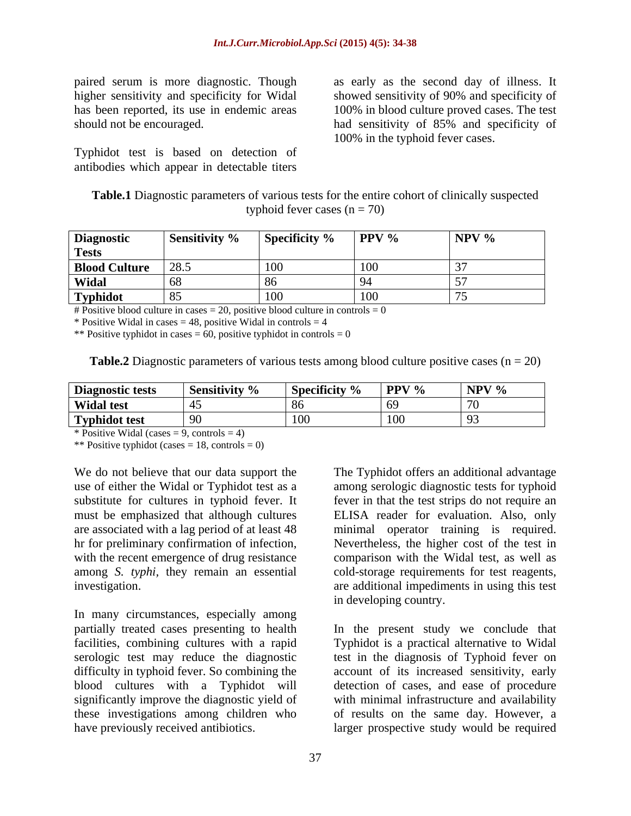paired serum is more diagnostic. Though as early as the second day of illness. It has been reported, its use in endemic areas

Typhidot test is based on detection of antibodies which appear in detectable titers

higher sensitivity and specificity for Widal showed sensitivity of 90% and specificity of should not be encouraged. had sensitivity of 85% and specificity of 100% in blood culture proved cases. The test 100% in the typhoid fever cases.

**Table.1** Diagnostic parameters of various tests for the entire cohort of clinically suspected typhoid fever cases  $(n = 70)$ 

| <b>Diagnostic</b>  |        | Sensitivity % Specificity % PPV % NPV % |  |
|--------------------|--------|-----------------------------------------|--|
| <b>TCDLD</b>       |        |                                         |  |
| Blood Culture 28.5 |        |                                         |  |
| Widal              | 1 G.V  |                                         |  |
| <b>Typhidot</b>    | 1 O.C. |                                         |  |

# Positive blood culture in cases  $= 20$ , positive blood culture in controls  $= 0$ 

\* Positive Widal in cases  $= 48$ , positive Widal in controls  $= 4$ 

\*\* Positive typhidot in cases = 60, positive typhidot in controls =  $0$ 

| <b>Table.2</b> Diagnostic parameters | $\sim$ of various tests among blood culture positive cases $\sim$ | $\approx$ cases (n = 20) |
|--------------------------------------|-------------------------------------------------------------------|--------------------------|
|                                      |                                                                   |                          |

| Diagnostic tests Sensitivity % Specificity % PPV % NPV % |  |
|----------------------------------------------------------|--|
| <b>Widal test</b>                                        |  |
| <b>Typhidot test</b><br>ה ה                              |  |

\* Positive Widal (cases  $= 9$ , controls  $= 4$ )

\*\* Positive typhidot (cases  $= 18$ , controls  $= 0$ )

We do not believe that our data support the The Typhidot offers an additional advantage

In many circumstances, especially among partially treated cases presenting to health In the present study we conclude that facilities, combining cultures with a rapid Typhidot is a practical alternative to Widal serologic test may reduce the diagnostic test in the diagnosis of Typhoid fever on difficulty in typhoid fever. So combining the account of its increased sensitivity, early blood cultures with a Typhidot will detection of cases, and ease of procedure significantly improve the diagnostic yield of with minimal infrastructure and availability these investigations among children who of results on the same day. However, a have previously received antibiotics. larger prospective study would be required

use of either the Widal or Typhidot test as a among serologic diagnostic tests for typhoid substitute for cultures in typhoid fever. It fever in that the test strips do not require an must be emphasized that although cultures ELISA reader for evaluation. Also, only are associated with a lag period of at least 48 minimal operator training is required. hr for preliminary confirmation of infection, Nevertheless, the higher cost of the test in with the recent emergence of drug resistance comparison with the Widal test, as well as among *S. typhi,* they remain an essential cold-storage requirements for test reagents, investigation. are additional impediments in using this test in developing country.